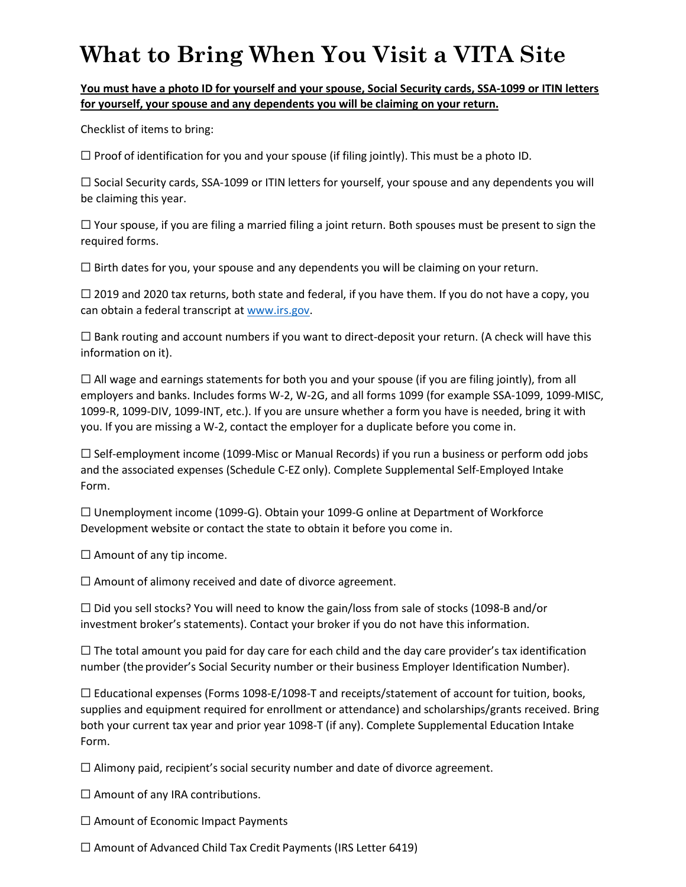## **What to Bring When You Visit a VITA Site**

## **You must have a photo ID for yourself and your spouse, Social Security cards, SSA-1099 or ITIN letters for yourself, your spouse and any dependents you will be claiming on your return.**

Checklist of items to bring:

 $\Box$  Proof of identification for you and your spouse (if filing jointly). This must be a photo ID.

 $\Box$  Social Security cards, SSA-1099 or ITIN letters for yourself, your spouse and any dependents you will be claiming this year.

 $\Box$  Your spouse, if you are filing a married filing a joint return. Both spouses must be present to sign the required forms.

 $\Box$  Birth dates for you, your spouse and any dependents you will be claiming on your return.

 $\Box$  2019 and 2020 tax returns, both state and federal, if you have them. If you do not have a copy, you can obtain a federal [transcript at](http://www.irs.gov/) [www.irs.gov.](http://www.irs.gov/)

 $\Box$  Bank routing and account numbers if you want to direct-deposit your return. (A check will have this information on it).

 $\Box$  All wage and earnings statements for both you and your spouse (if you are filing jointly), from all employers and banks. Includes forms W-2, W-2G, and all forms 1099 (for example SSA-1099, 1099-MISC, 1099-R, 1099-DIV, 1099-INT, etc.). If you are unsure whether a form you have is needed, bring it with you. If you are missing a W-2, contact the employer for a duplicate before you come in.

 $\Box$  Self-employment income (1099-Misc or Manual Records) if you run a business or perform odd jobs and the associated expenses (Schedule C-EZ only). Complete Supplemental Self-Employed Intake Form.

 $\Box$  Unemployment income (1099-G). Obtain your 1099-G online at Department of Workforce Development website or contact the state to obtain it before you come in.

 $\Box$  Amount of any tip income.

 $\Box$  Amount of alimony received and date of divorce agreement.

 $\Box$  Did you sell stocks? You will need to know the gain/loss from sale of stocks (1098-B and/or investment broker's statements). Contact your broker if you do not have this information.

 $\Box$  The total amount you paid for day care for each child and the day care provider's tax identification number (the provider's Social Security number or their business Employer Identification Number).

☐ Educational expenses (Forms 1098-E/1098-T and receipts/statement of account for tuition, books, supplies and equipment required for enrollment or attendance) and scholarships/grants received. Bring both your current tax year and prior year 1098-T (if any). Complete Supplemental Education Intake Form.

 $\Box$  Alimony paid, recipient's social security number and date of divorce agreement.

 $\Box$  Amount of any IRA contributions.

 $\Box$  Amount of Economic Impact Payments

 $\Box$  Amount of Advanced Child Tax Credit Payments (IRS Letter 6419)